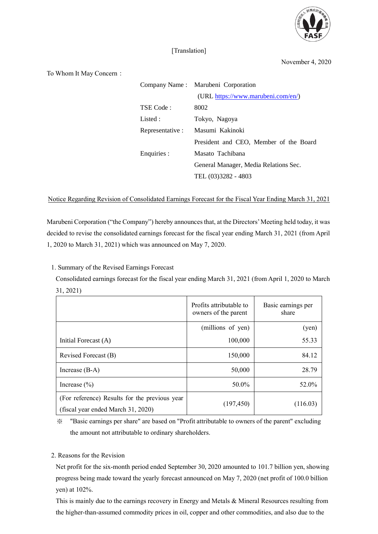

## [Translation]

November 4, 2020

To Whom It May Concern:

|                  | Company Name: Marubeni Corporation     |  |
|------------------|----------------------------------------|--|
|                  | (URL https://www.marubeni.com/en/)     |  |
| TSE Code:        | 8002                                   |  |
| Listed:          | Tokyo, Nagoya                          |  |
| Representative : | Masumi Kakinoki                        |  |
|                  | President and CEO, Member of the Board |  |
| Enquiries :      | Masato Tachibana                       |  |
|                  | General Manager, Media Relations Sec.  |  |
|                  | TEL (03)3282 - 4803                    |  |

Notice Regarding Revision of Consolidated Earnings Forecast for the Fiscal Year Ending March 31, 2021

Marubeni Corporation ("the Company") hereby announces that, at the Directors' Meeting held today, it was decided to revise the consolidated earnings forecast for the fiscal year ending March 31, 2021 (from April 1, 2020 to March 31, 2021) which was announced on May 7, 2020.

1. Summary of the Revised Earnings Forecast

Consolidated earnings forecast for the fiscal year ending March 31, 2021 (from April 1, 2020 to March 31, 2021)

|                                                                                     | Profits attributable to<br>owners of the parent | Basic earnings per<br>share |
|-------------------------------------------------------------------------------------|-------------------------------------------------|-----------------------------|
|                                                                                     | (millions of yen)                               | (yen)                       |
| Initial Forecast (A)                                                                | 100,000                                         | 55.33                       |
| Revised Forecast (B)                                                                | 150,000                                         | 84.12                       |
| Increase $(B-A)$                                                                    | 50,000                                          | 28.79                       |
| Increase $(\% )$                                                                    | 50.0%                                           | 52.0%                       |
| (For reference) Results for the previous year<br>(fiscal year ended March 31, 2020) | (197, 450)                                      | (116.03)                    |

※ "Basic earnings per share" are based on "Profit attributable to owners of the parent" excluding the amount not attributable to ordinary shareholders.

## 2. Reasons for the Revision

Net profit for the six-month period ended September 30, 2020 amounted to 101.7 billion yen, showing progress being made toward the yearly forecast announced on May 7, 2020 (net profit of 100.0 billion yen) at 102%.

This is mainly due to the earnings recovery in Energy and Metals & Mineral Resources resulting from the higher-than-assumed commodity prices in oil, copper and other commodities, and also due to the